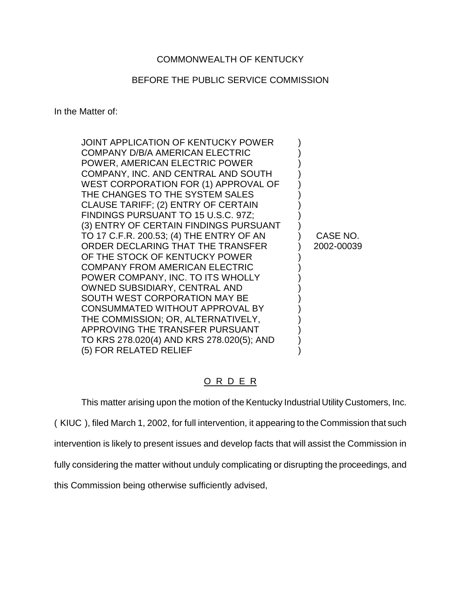## COMMONWEALTH OF KENTUCKY

## BEFORE THE PUBLIC SERVICE COMMISSION

In the Matter of:

| JOINT APPLICATION OF KENTUCKY POWER<br>COMPANY D/B/A AMERICAN ELECTRIC<br>POWER, AMERICAN ELECTRIC POWER<br>COMPANY, INC. AND CENTRAL AND SOUTH<br>WEST CORPORATION FOR (1) APPROVAL OF<br>THE CHANGES TO THE SYSTEM SALES<br>CLAUSE TARIFF; (2) ENTRY OF CERTAIN<br>FINDINGS PURSUANT TO 15 U.S.C. 97Z;<br>(3) ENTRY OF CERTAIN FINDINGS PURSUANT<br>TO 17 C.F.R. 200.53; (4) THE ENTRY OF AN<br>ORDER DECLARING THAT THE TRANSFER<br>OF THE STOCK OF KENTUCKY POWER<br><b>COMPANY FROM AMERICAN ELECTRIC</b><br>POWER COMPANY, INC. TO ITS WHOLLY<br>OWNED SUBSIDIARY, CENTRAL AND<br>SOUTH WEST CORPORATION MAY BE<br>CONSUMMATED WITHOUT APPROVAL BY<br>THE COMMISSION; OR, ALTERNATIVELY,<br>APPROVING THE TRANSFER PURSUANT<br>TO KRS 278.020(4) AND KRS 278.020(5); AND<br>(5) FOR RELATED RELIEF | CASE NO.<br>2002-00039 |
|----------------------------------------------------------------------------------------------------------------------------------------------------------------------------------------------------------------------------------------------------------------------------------------------------------------------------------------------------------------------------------------------------------------------------------------------------------------------------------------------------------------------------------------------------------------------------------------------------------------------------------------------------------------------------------------------------------------------------------------------------------------------------------------------------------|------------------------|
|----------------------------------------------------------------------------------------------------------------------------------------------------------------------------------------------------------------------------------------------------------------------------------------------------------------------------------------------------------------------------------------------------------------------------------------------------------------------------------------------------------------------------------------------------------------------------------------------------------------------------------------------------------------------------------------------------------------------------------------------------------------------------------------------------------|------------------------|

## O R D E R

This matter arising upon the motion of the Kentucky Industrial Utility Customers, Inc. ( KIUC ), filed March 1, 2002, for full intervention, it appearing to the Commission that such intervention is likely to present issues and develop facts that will assist the Commission in fully considering the matter without unduly complicating or disrupting the proceedings, and this Commission being otherwise sufficiently advised,